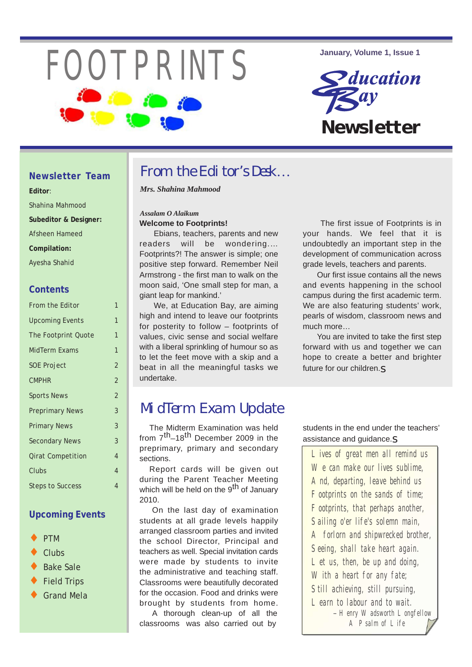# FOOTPRINTS **January, Volume 1, Issue 1**



### **Newsletter Team**

- **Editor**:
- Shahina Mahmood
- **Subeditor & Designer:**
- Afsheen Hameed
- **Compilation:**
- Ayesha Shahid

### **Contents**

| From the Editor          | $\mathbf{1}$   |
|--------------------------|----------------|
| <b>Upcoming Events</b>   | 1              |
| The Footprint Quote      | 1              |
| MidTerm Exams            | $\mathbf{1}$   |
| <b>SOE Project</b>       | $\overline{2}$ |
| <b>CMPHR</b>             | $\overline{2}$ |
| <b>Sports News</b>       | $\overline{2}$ |
| <b>Preprimary News</b>   | 3              |
| <b>Primary News</b>      | 3              |
| <b>Secondary News</b>    | 3              |
| <b>Qirat Competition</b> | 4              |
| Clubs                    | $\overline{4}$ |
| <b>Steps to Success</b>  | $\overline{4}$ |
|                          |                |

### **Upcoming Events**

- PTM
- Clubs
- **Bake Sale**
- **Field Trips**
- **Grand Mela**

# From the Editor's Desk...

*Mrs. Shahina Mahmood*

### *Assalam O Alaikum* **Welcome to Footprints!**

Ebians, teachers, parents and new readers will be wondering.… Footprints?! The answer is simple; one positive step forward. Remember Neil Armstrong - the first man to walk on the moon said, 'One small step for man, a giant leap for mankind.'

We, at Education Bay, are aiming high and intend to leave our footprints for posterity to follow – footprints of values, civic sense and social welfare with a liberal sprinkling of humour so as to let the feet move with a skip and a beat in all the meaningful tasks we undertake.

The first issue of Footprints is in your hands. We feel that it is undoubtedly an important step in the development of communication across grade levels, teachers and parents.

Our first issue contains all the news and events happening in the school campus during the first academic term. We are also featuring students' work, pearls of wisdom, classroom news and much more…

You are invited to take the first step forward with us and together we can hope to create a better and brighter future for our children.s

# MidTerm Exam Update

The Midterm Examination was held from  $7^{th}-18^{th}$  December 2009 in the preprimary, primary and secondary sections.

Report cards will be given out during the Parent Teacher Meeting which will be held on the 9<sup>th</sup> of January 2010.

On the last day of examination students at all grade levels happily arranged classroom parties and invited the school Director, Principal and teachers as well. Special invitation cards were made by students to invite the administrative and teaching staff. Classrooms were beautifully decorated for the occasion. Food and drinks were brought by students from home.

 A thorough clean-up of all the classrooms was also carried out by

students in the end under the teachers' assistance and guidance.s

Lives of great men all remind us We can make our lives sublime. And, departing, leave behind us Footprints on the sands of time; Footprints, that perhaps another, Sailing o'er life's solemn main, A forlorn and shipwrecked brother, Seeing, shall take heart again. Let us, then, be up and doing, With a heart for any fate; Still achieving, still pursuing, Learn to labour and to wait. - Henry Wadsworth Longfellow A Psalm of Life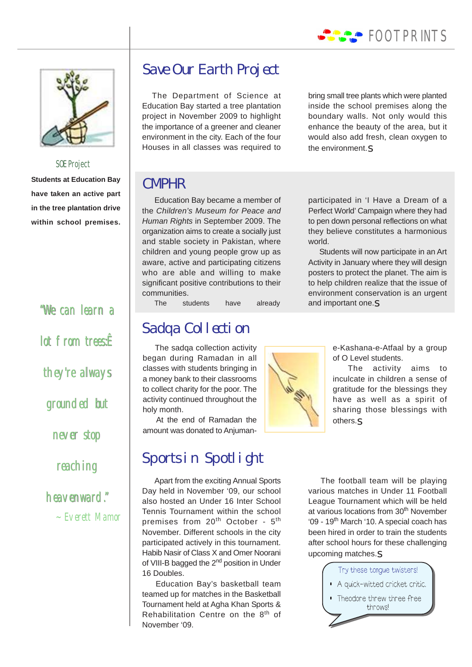



### SOE Project

**Students at Education Bay have taken an active part in the tree plantation drive within school premises.**

> "We can learn a "We can a lot from trees<sup><del>R</del></sub></sup> lot from trees:<br>they're always grounded but<br>never stop never stop reaching heavenward." heavenward." ~ Everett Mamor

# Save Our Earth Project

The Department of Science at Education Bay started a tree plantation project in November 2009 to highlight the importance of a greener and cleaner environment in the city. Each of the four Houses in all classes was required to

bring small tree plants which were planted inside the school premises along the boundary walls. Not only would this enhance the beauty of the area, but it would also add fresh, clean oxygen to the environment. $s$ 

### CMPHR

Education Bay became a member of the *Children's Museum for Peace and Human Rights* in September 2009. The organization aims to create a socially just and stable society in Pakistan, where children and young people grow up as aware, active and participating citizens who are able and willing to make significant positive contributions to their communities.

The students have already

# Sadqa Collection

The sadqa collection activity began during Ramadan in all classes with students bringing in a money bank to their classrooms to collect charity for the poor. The activity continued throughout the holy month.

At the end of Ramadan the amount was donated to Anjuman-

# Sports in Spotlight

Apart from the exciting Annual Sports Day held in November '09, our school also hosted an Under 16 Inter School Tennis Tournament within the school premises from 20<sup>th</sup> October - 5<sup>th</sup> November. Different schools in the city participated actively in this tournament. Habib Nasir of Class X and Omer Noorani of VIII-B bagged the 2<sup>nd</sup> position in Under 16 Doubles.

Education Bay's basketball team teamed up for matches in the Basketball Tournament held at Agha Khan Sports & Rehabilitation Centre on the 8<sup>th</sup> of November '09.

to pen down personal reflections on what they believe constitutes a harmonious world. Students will now participate in an Art Activity in January where they will design

participated in 'I Have a Dream of a Perfect World' Campaign where they had

posters to protect the planet. The aim is to help children realize that the issue of environment conservation is an urgent and important one.S

> e-Kashana-e-Atfaal by a group of O Level students.

> The activity aims to inculcate in children a sense of gratitude for the blessings they have as well as a spirit of sharing those blessings with others.s

The football team will be playing various matches in Under 11 Football League Tournament which will be held at various locations from 30<sup>th</sup> November '09 - 19<sup>th</sup> March '10. A special coach has been hired in order to train the students after school hours for these challenging upcoming matches.s

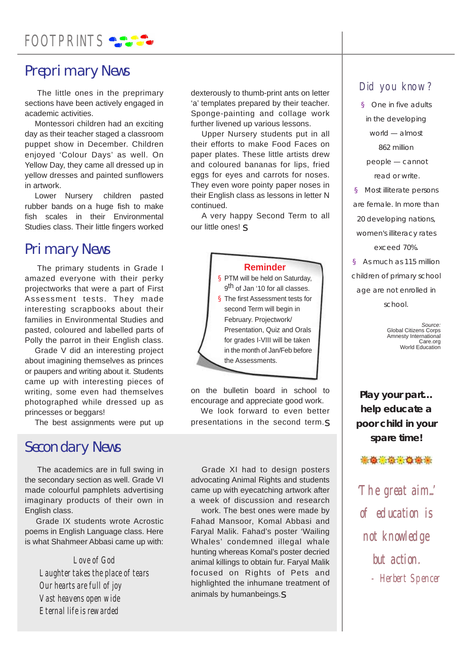# FOOTPRINTS SAFE

# Preprimary News

The little ones in the preprimary sections have been actively engaged in academic activities.

Montessori children had an exciting day as their teacher staged a classroom puppet show in December. Children enjoyed 'Colour Days' as well. On Yellow Day, they came all dressed up in yellow dresses and painted sunflowers in artwork.

Lower Nursery children pasted rubber bands on a huge fish to make fish scales in their Environmental Studies class. Their little fingers worked

## Primary News

The primary students in Grade I amazed everyone with their perky projectworks that were a part of First Assessment tests. They made interesting scrapbooks about their families in Environmental Studies and pasted, coloured and labelled parts of Polly the parrot in their English class.

Grade V did an interesting project about imagining themselves as princes or paupers and writing about it. Students came up with interesting pieces of writing, some even had themselves photographed while dressed up as princesses or beggars!

The best assignments were put up

### Secondary News

The academics are in full swing in the secondary section as well. Grade VI made colourful pamphlets advertising imaginary products of their own in English class.

Grade IX students wrote Acrostic poems in English Language class. Here is what Shahmeer Abbasi came up with:

### *Love of God*

*Laughter takes the place of tears Our hearts are full of joy Vast heavens open wide Eternal life is rewarded*

dexterously to thumb-print ants on letter 'a' templates prepared by their teacher. Sponge-painting and collage work further livened up various lessons.

Upper Nursery students put in all their efforts to make Food Faces on paper plates. These little artists drew and coloured bananas for lips, fried eggs for eyes and carrots for noses. They even wore pointy paper noses in their English class as lessons in letter N continued.

A very happy Second Term to all our little ones! s

### **Reminder**

§ PTM will be held on Saturday, 9<sup>th</sup> of Jan '10 for all classes. § The first Assessment tests for second Term will begin in February. Projectwork/ Presentation, Quiz and Orals for grades I-VIII will be taken in the month of Jan/Feb before the Assessments.

on the bulletin board in school to encourage and appreciate good work.

We look forward to even better presentations in the second term.s

Grade XI had to design posters advocating Animal Rights and students came up with eyecatching artwork after a week of discussion and research

work. The best ones were made by Fahad Mansoor, Komal Abbasi and Faryal Malik. Fahad's poster 'Wailing Whales' condemned illegal whale hunting whereas Komal's poster decried animal killings to obtain fur. Faryal Malik focused on Rights of Pets and highlighted the inhumane treatment of animals by humanbeings.s

### Did you know?

§ One in five adults in the developing world — almost 862 million people — cannot read or write. § Most illiterate persons are female. In more than 20 developing nations,

women's illiteracy rates exceed 70%.

§ As much as 115 million children of primary school age are not enrolled in school.

> *Source:* Global Citizens Corps Amnesty International Care.org World Education

**Play your part… help educate a poor child in your spare time!**

● 会议会议会议

The great aim...' of education is not knowledge but action. - Herbert Spencer